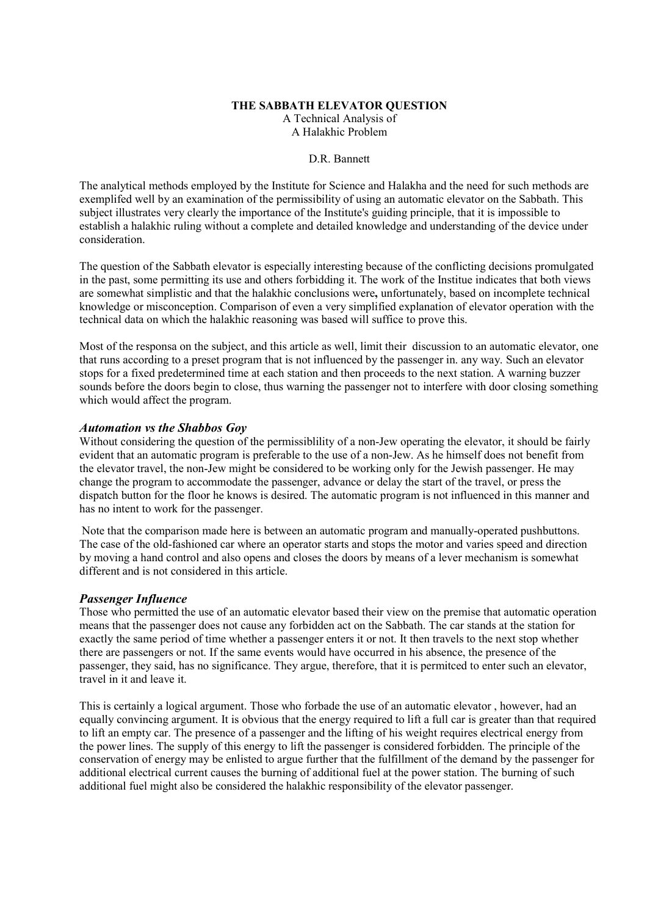#### **THE SABBATH ELEVATOR QUESTION**

A Technical Analysis of A Halakhic Problem

#### D.R. Bannett

The analytical methods employed by the Institute for Science and Halakha and the need for such methods are exemplifed well by an examination of the permissibility of using an automatic elevator on the Sabbath. This subject illustrates very clearly the importance of the Institute's guiding principle, that it is impossible to establish a halakhic ruling without a complete and detailed knowledge and understanding of the device under consideration.

The question of the Sabbath elevator is especially interesting because of the conflicting decisions promulgated in the past, some permitting its use and others forbidding it. The work of the Institue indicates that both views are somewhat simplistic and that the halakhic conclusions were**,** unfortunately, based on incomplete technical knowledge or misconception. Comparison of even a very simplified explanation of elevator operation with the technical data on which the halakhic reasoning was based will suffice to prove this.

Most of the responsa on the subject, and this article as well, limit their discussion to an automatic elevator, one that runs according to a preset program that is not influenced by the passenger in. any way. Such an elevator stops for a fixed predetermined time at each station and then proceeds to the next station. A warning buzzer sounds before the doors begin to close, thus warning the passenger not to interfere with door closing something which would affect the program.

## *Automation vs the Shabbos Goy*

Without considering the question of the permissiblility of a non-Jew operating the elevator, it should be fairly evident that an automatic program is preferable to the use of a non-Jew. As he himself does not benefit from the elevator travel, the non-Jew might be considered to be working only for the Jewish passenger. He may change the program to accommodate the passenger, advance or delay the start of the travel, or press the dispatch button for the floor he knows is desired. The automatic program is not influenced in this manner and has no intent to work for the passenger.

Note that the comparison made here is between an automatic program and manually-operated pushbuttons. The case of the old-fashioned car where an operator starts and stops the motor and varies speed and direction by moving a hand control and also opens and closes the doors by means of a lever mechanism is somewhat different and is not considered in this article.

## *Passenger Influence*

Those who permitted the use of an automatic elevator based their view on the premise that automatic operation means that the passenger does not cause any forbidden act on the Sabbath. The car stands at the station for exactly the same period of time whether a passenger enters it or not. It then travels to the next stop whether there are passengers or not. If the same events would have occurred in his absence, the presence of the passenger, they said, has no significance. They argue, therefore, that it is permitced to enter such an elevator, travel in it and leave it.

This is certainly a logical argument. Those who forbade the use of an automatic elevator , however, had an equally convincing argument. It is obvious that the energy required to lift a full car is greater than that required to lift an empty car. The presence of a passenger and the lifting of his weight requires electrical energy from the power lines. The supply of this energy to lift the passenger is considered forbidden. The principle of the conservation of energy may be enlisted to argue further that the fulfillment of the demand by the passenger for additional electrical current causes the burning of additional fuel at the power station. The burning of such additional fuel might also be considered the halakhic responsibility of the elevator passenger.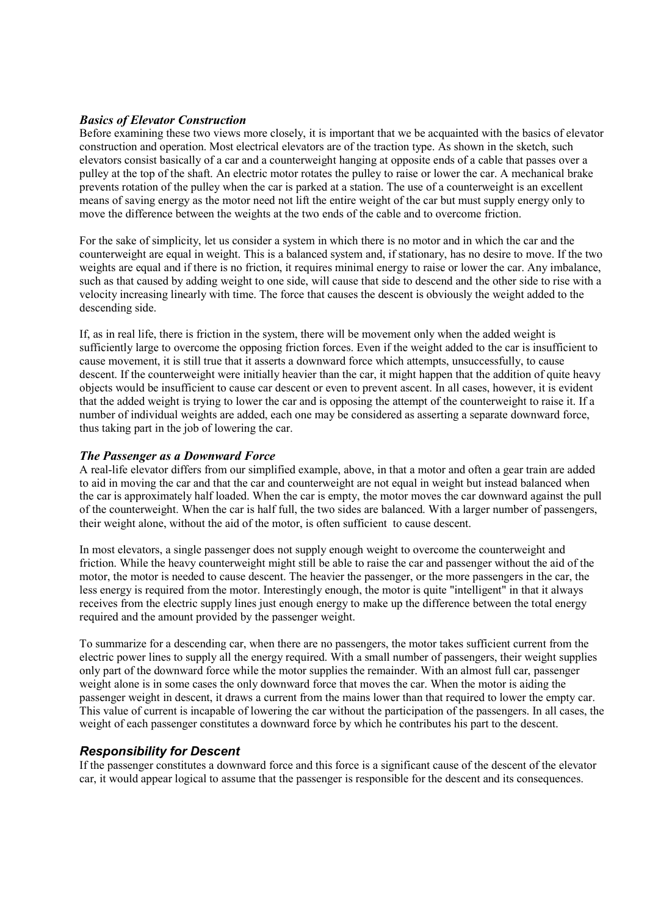## *Basics of Elevator Construction*

Before examining these two views more closely, it is important that we be acquainted with the basics of elevator construction and operation. Most electrical elevators are of the traction type. As shown in the sketch, such elevators consist basically of a car and a counterweight hanging at opposite ends of a cable that passes over a pulley at the top of the shaft. An electric motor rotates the pulley to raise or lower the car. A mechanical brake prevents rotation of the pulley when the car is parked at a station. The use of a counterweight is an excellent means of saving energy as the motor need not lift the entire weight of the car but must supply energy only to move the difference between the weights at the two ends of the cable and to overcome friction.

For the sake of simplicity, let us consider a system in which there is no motor and in which the car and the counterweight are equal in weight. This is a balanced system and, if stationary, has no desire to move. If the two weights are equal and if there is no friction, it requires minimal energy to raise or lower the car. Any imbalance, such as that caused by adding weight to one side, will cause that side to descend and the other side to rise with a velocity increasing linearly with time. The force that causes the descent is obviously the weight added to the descending side.

If, as in real life, there is friction in the system, there will be movement only when the added weight is sufficiently large to overcome the opposing friction forces. Even if the weight added to the car is insufficient to cause movement, it is still true that it asserts a downward force which attempts, unsuccessfully, to cause descent. If the counterweight were initially heavier than the car, it might happen that the addition of quite heavy objects would be insufficient to cause car descent or even to prevent ascent. In all cases, however, it is evident that the added weight is trying to lower the car and is opposing the attempt of the counterweight to raise it. If a number of individual weights are added, each one may be considered as asserting a separate downward force, thus taking part in the job of lowering the car.

# *The Passenger as a Downward Force*

A real-life elevator differs from our simplified example, above, in that a motor and often a gear train are added to aid in moving the car and that the car and counterweight are not equal in weight but instead balanced when the car is approximately half loaded. When the car is empty, the motor moves the car downward against the pull of the counterweight. When the car is half full, the two sides are balanced. With a larger number of passengers, their weight alone, without the aid of the motor, is often sufficient to cause descent.

In most elevators, a single passenger does not supply enough weight to overcome the counterweight and friction. While the heavy counterweight might still be able to raise the car and passenger without the aid of the motor, the motor is needed to cause descent. The heavier the passenger, or the more passengers in the car, the less energy is required from the motor. Interestingly enough, the motor is quite "intelligent" in that it always receives from the electric supply lines just enough energy to make up the difference between the total energy required and the amount provided by the passenger weight.

To summarize for a descending car, when there are no passengers, the motor takes sufficient current from the electric power lines to supply all the energy required. With a small number of passengers, their weight supplies only part of the downward force while the motor supplies the remainder. With an almost full car, passenger weight alone is in some cases the only downward force that moves the car. When the motor is aiding the passenger weight in descent, it draws a current from the mains lower than that required to lower the empty car. This value of current is incapable of lowering the car without the participation of the passengers. In all cases, the weight of each passenger constitutes a downward force by which he contributes his part to the descent.

# *Responsibility for Descent*

If the passenger constitutes a downward force and this force is a significant cause of the descent of the elevator car, it would appear logical to assume that the passenger is responsible for the descent and its consequences.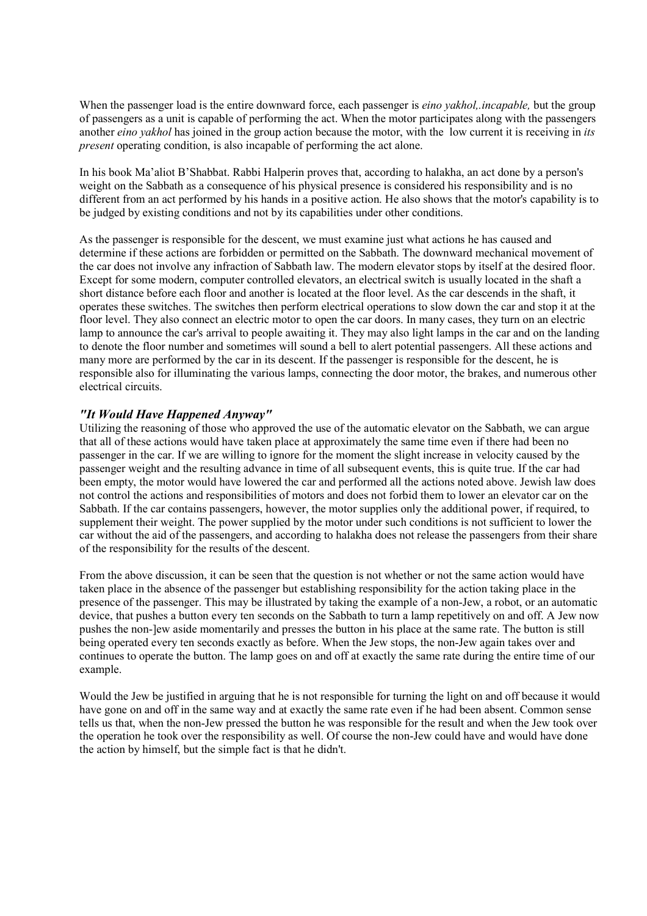When the passenger load is the entire downward force, each passenger is *eino yakhol,.incapable,* but the group of passengers as a unit is capable of performing the act. When the motor participates along with the passengers another *eino yakhol* has joined in the group action because the motor, with the low current it is receiving in *its present* operating condition, is also incapable of performing the act alone.

In his book Ma'aliot B'Shabbat. Rabbi Halperin proves that, according to halakha, an act done by a person's weight on the Sabbath as a consequence of his physical presence is considered his responsibility and is no different from an act performed by his hands in a positive action. He also shows that the motor's capability is to be judged by existing conditions and not by its capabilities under other conditions.

As the passenger is responsible for the descent, we must examine just what actions he has caused and determine if these actions are forbidden or permitted on the Sabbath. The downward mechanical movement of the car does not involve any infraction of Sabbath law. The modern elevator stops by itself at the desired floor. Except for some modern, computer controlled elevators, an electrical switch is usually located in the shaft a short distance before each floor and another is located at the floor level. As the car descends in the shaft, it operates these switches. The switches then perform electrical operations to slow down the car and stop it at the floor level. They also connect an electric motor to open the car doors. In many cases, they turn on an electric lamp to announce the car's arrival to people awaiting it. They may also light lamps in the car and on the landing to denote the floor number and sometimes will sound a bell to alert potential passengers. All these actions and many more are performed by the car in its descent. If the passenger is responsible for the descent, he is responsible also for illuminating the various lamps, connecting the door motor, the brakes, and numerous other electrical circuits.

# *"It Would Have Happened Anyway"*

Utilizing the reasoning of those who approved the use of the automatic elevator on the Sabbath, we can argue that all of these actions would have taken place at approximately the same time even if there had been no passenger in the car. If we are willing to ignore for the moment the slight increase in velocity caused by the passenger weight and the resulting advance in time of all subsequent events, this is quite true. If the car had been empty, the motor would have lowered the car and performed all the actions noted above. Jewish law does not control the actions and responsibilities of motors and does not forbid them to lower an elevator car on the Sabbath. If the car contains passengers, however, the motor supplies only the additional power, if required, to supplement their weight. The power supplied by the motor under such conditions is not sufficient to lower the car without the aid of the passengers, and according to halakha does not release the passengers from their share of the responsibility for the results of the descent.

From the above discussion, it can be seen that the question is not whether or not the same action would have taken place in the absence of the passenger but establishing responsibility for the action taking place in the presence of the passenger. This may be illustrated by taking the example of a non-Jew, a robot, or an automatic device, that pushes a button every ten seconds on the Sabbath to turn a lamp repetitively on and off. A Jew now pushes the non-]ew aside momentarily and presses the button in his place at the same rate. The button is still being operated every ten seconds exactly as before. When the Jew stops, the non-Jew again takes over and continues to operate the button. The lamp goes on and off at exactly the same rate during the entire time of our example.

Would the Jew be justified in arguing that he is not responsible for turning the light on and off because it would have gone on and off in the same way and at exactly the same rate even if he had been absent. Common sense tells us that, when the non-Jew pressed the button he was responsible for the result and when the Jew took over the operation he took over the responsibility as well. Of course the non-Jew could have and would have done the action by himself, but the simple fact is that he didn't.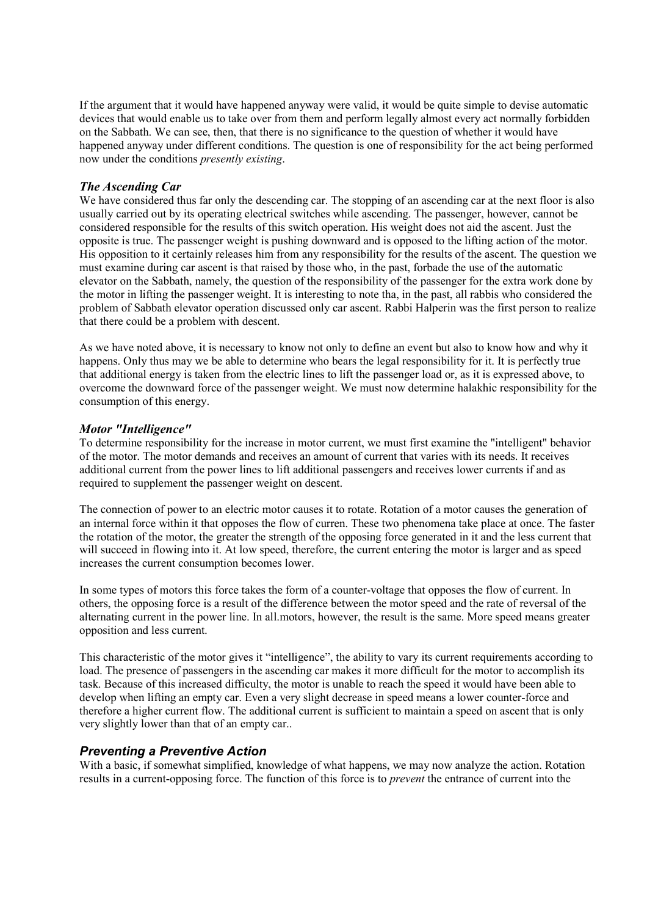If the argument that it would have happened anyway were valid, it would be quite simple to devise automatic devices that would enable us to take over from them and perform legally almost every act normally forbidden on the Sabbath. We can see, then, that there is no significance to the question of whether it would have happened anyway under different conditions. The question is one of responsibility for the act being performed now under the conditions *presently existing*.

# *The Ascending Car*

We have considered thus far only the descending car. The stopping of an ascending car at the next floor is also usually carried out by its operating electrical switches while ascending. The passenger, however, cannot be considered responsible for the results of this switch operation. His weight does not aid the ascent. Just the opposite is true. The passenger weight is pushing downward and is opposed to the lifting action of the motor. His opposition to it certainly releases him from any responsibility for the results of the ascent. The question we must examine during car ascent is that raised by those who, in the past, forbade the use of the automatic elevator on the Sabbath, namely, the question of the responsibility of the passenger for the extra work done by the motor in lifting the passenger weight. It is interesting to note tha, in the past, all rabbis who considered the problem of Sabbath elevator operation discussed only car ascent. Rabbi Halperin was the first person to realize that there could be a problem with descent.

As we have noted above, it is necessary to know not only to define an event but also to know how and why it happens. Only thus may we be able to determine who bears the legal responsibility for it. It is perfectly true that additional energy is taken from the electric lines to lift the passenger load or, as it is expressed above, to overcome the downward force of the passenger weight. We must now determine halakhic responsibility for the consumption of this energy.

## *Motor "Intelligence"*

To determine responsibility for the increase in motor current, we must first examine the "intelligent" behavior of the motor. The motor demands and receives an amount of current that varies with its needs. It receives additional current from the power lines to lift additional passengers and receives lower currents if and as required to supplement the passenger weight on descent.

The connection of power to an electric motor causes it to rotate. Rotation of a motor causes the generation of an internal force within it that opposes the flow of curren. These two phenomena take place at once. The faster the rotation of the motor, the greater the strength of the opposing force generated in it and the less current that will succeed in flowing into it. At low speed, therefore, the current entering the motor is larger and as speed increases the current consumption becomes lower.

In some types of motors this force takes the form of a counter-voltage that opposes the flow of current. In others, the opposing force is a result of the difference between the motor speed and the rate of reversal of the alternating current in the power line. In all.motors, however, the result is the same. More speed means greater opposition and less current.

This characteristic of the motor gives it "intelligence", the ability to vary its current requirements according to load. The presence of passengers in the ascending car makes it more difficult for the motor to accomplish its task. Because of this increased difficulty, the motor is unable to reach the speed it would have been able to develop when lifting an empty car. Even a very slight decrease in speed means a lower counter-force and therefore a higher current flow. The additional current is sufficient to maintain a speed on ascent that is only very slightly lower than that of an empty car..

# *Preventing a Preventive Action*

With a basic, if somewhat simplified, knowledge of what happens, we may now analyze the action. Rotation results in a current-opposing force. The function of this force is to *prevent* the entrance of current into the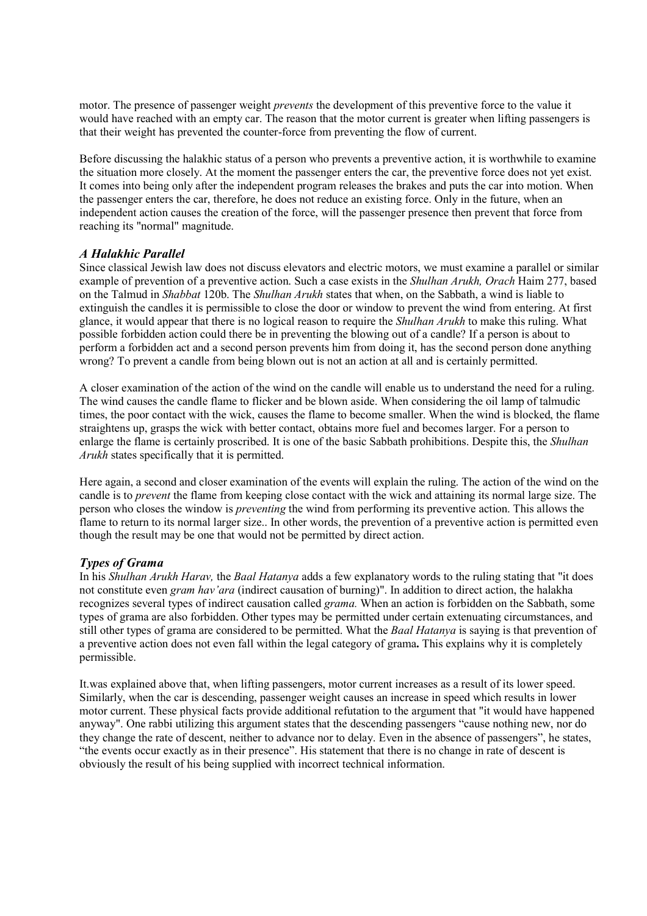motor. The presence of passenger weight *prevents* the development of this preventive force to the value it would have reached with an empty car. The reason that the motor current is greater when lifting passengers is that their weight has prevented the counter-force from preventing the flow of current.

Before discussing the halakhic status of a person who prevents a preventive action, it is worthwhile to examine the situation more closely. At the moment the passenger enters the car, the preventive force does not yet exist. It comes into being only after the independent program releases the brakes and puts the car into motion. When the passenger enters the car, therefore, he does not reduce an existing force. Only in the future, when an independent action causes the creation of the force, will the passenger presence then prevent that force from reaching its "normal" magnitude.

# *A Halakhic Parallel*

Since classical Jewish law does not discuss elevators and electric motors, we must examine a parallel or similar example of prevention of a preventive action. Such a case exists in the *Shulhan Arukh, Orach* Haim 277, based on the Talmud in *Shabbat* 120b. The *Shulhan Arukh* states that when, on the Sabbath, a wind is liable to extinguish the candles it is permissible to close the door or window to prevent the wind from entering. At first glance, it would appear that there is no logical reason to require the *Shulhan Arukh* to make this ruling. What possible forbidden action could there be in preventing the blowing out of a candle? If a person is about to perform a forbidden act and a second person prevents him from doing it, has the second person done anything wrong? To prevent a candle from being blown out is not an action at all and is certainly permitted.

A closer examination of the action of the wind on the candle will enable us to understand the need for a ruling. The wind causes the candle flame to flicker and be blown aside. When considering the oil lamp of talmudic times, the poor contact with the wick, causes the flame to become smaller. When the wind is blocked, the flame straightens up, grasps the wick with better contact, obtains more fuel and becomes larger. For a person to enlarge the flame is certainly proscribed. It is one of the basic Sabbath prohibitions. Despite this, the *Shulhan Arukh* states specifically that it is permitted.

Here again, a second and closer examination of the events will explain the ruling. The action of the wind on the candle is to *prevent* the flame from keeping close contact with the wick and attaining its normal large size. The person who closes the window is *preventing* the wind from performing its preventive action. This allows the flame to return to its normal larger size.. In other words, the prevention of a preventive action is permitted even though the result may be one that would not be permitted by direct action.

# *Types of Grama*

In his *Shulhan Arukh Harav,* the *Baal Hatanya* adds a few explanatory words to the ruling stating that "it does not constitute even *gram hav'ara* (indirect causation of burning)". In addition to direct action, the halakha recognizes several types of indirect causation called *grama.* When an action is forbidden on the Sabbath, some types of grama are also forbidden. Other types may be permitted under certain extenuating circumstances, and still other types of grama are considered to be permitted. What the *Baal Hatanya* is saying is that prevention of a preventive action does not even fall within the legal category of grama**.** This explains why it is completely permissible.

It.was explained above that, when lifting passengers, motor current increases as a result of its lower speed. Similarly, when the car is descending, passenger weight causes an increase in speed which results in lower motor current. These physical facts provide additional refutation to the argument that "it would have happened anyway". One rabbi utilizing this argument states that the descending passengers "cause nothing new, nor do they change the rate of descent, neither to advance nor to delay. Even in the absence of passengers", he states, "the events occur exactly as in their presence". His statement that there is no change in rate of descent is obviously the result of his being supplied with incorrect technical information.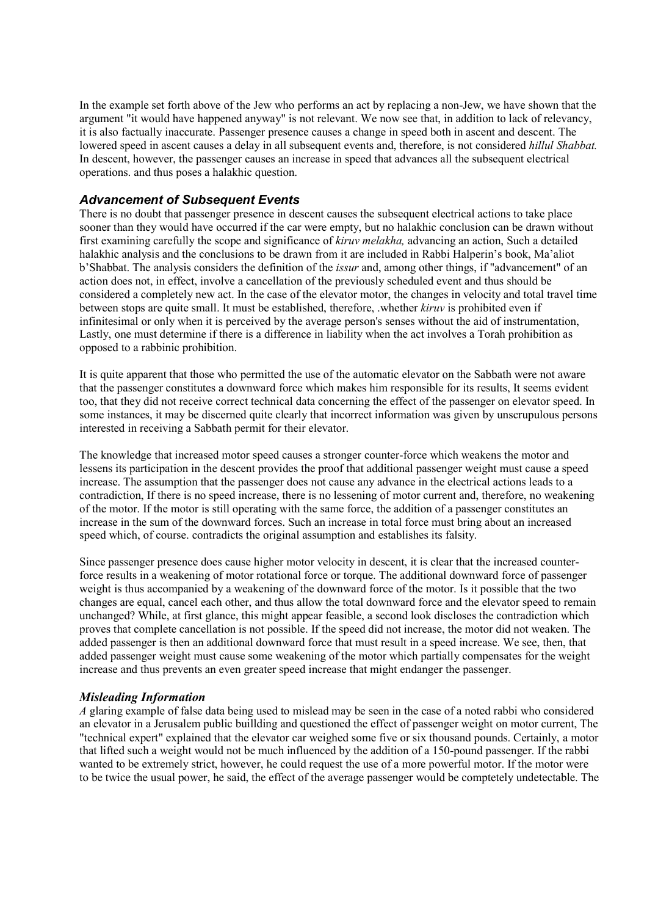In the example set forth above of the Jew who performs an act by replacing a non-Jew, we have shown that the argument "it would have happened anyway" is not relevant. We now see that, in addition to lack of relevancy, it is also factually inaccurate. Passenger presence causes a change in speed both in ascent and descent. The lowered speed in ascent causes a delay in all subsequent events and, therefore, is not considered *hillul Shabbat.* In descent, however, the passenger causes an increase in speed that advances all the subsequent electrical operations. and thus poses a halakhic question.

# *Advancement of Subsequent Events*

There is no doubt that passenger presence in descent causes the subsequent electrical actions to take place sooner than they would have occurred if the car were empty, but no halakhic conclusion can be drawn without first examining carefully the scope and significance of *kiruv melakha,* advancing an action, Such a detailed halakhic analysis and the conclusions to be drawn from it are included in Rabbi Halperin's book, Ma'aliot b'Shabbat. The analysis considers the definition of the *issur* and, among other things, if "advancement" of an action does not, in effect, involve a cancellation of the previously scheduled event and thus should be considered a completely new act. In the case of the elevator motor, the changes in velocity and total travel time between stops are quite small. It must be established, therefore, .whether *kiruv* is prohibited even if infinitesimal or only when it is perceived by the average person's senses without the aid of instrumentation, Lastly, one must determine if there is a difference in liability when the act involves a Torah prohibition as opposed to a rabbinic prohibition.

It is quite apparent that those who permitted the use of the automatic elevator on the Sabbath were not aware that the passenger constitutes a downward force which makes him responsible for its results, It seems evident too, that they did not receive correct technical data concerning the effect of the passenger on elevator speed. In some instances, it may be discerned quite clearly that incorrect information was given by unscrupulous persons interested in receiving a Sabbath permit for their elevator.

The knowledge that increased motor speed causes a stronger counter-force which weakens the motor and lessens its participation in the descent provides the proof that additional passenger weight must cause a speed increase. The assumption that the passenger does not cause any advance in the electrical actions leads to a contradiction, If there is no speed increase, there is no lessening of motor current and, therefore, no weakening of the motor. If the motor is still operating with the same force, the addition of a passenger constitutes an increase in the sum of the downward forces. Such an increase in total force must bring about an increased speed which, of course. contradicts the original assumption and establishes its falsity.

Since passenger presence does cause higher motor velocity in descent, it is clear that the increased counterforce results in a weakening of motor rotational force or torque. The additional downward force of passenger weight is thus accompanied by a weakening of the downward force of the motor. Is it possible that the two changes are equal, cancel each other, and thus allow the total downward force and the elevator speed to remain unchanged? While, at first glance, this might appear feasible, a second look discloses the contradiction which proves that complete cancellation is not possible. If the speed did not increase, the motor did not weaken. The added passenger is then an additional downward force that must result in a speed increase. We see, then, that added passenger weight must cause some weakening of the motor which partially compensates for the weight increase and thus prevents an even greater speed increase that might endanger the passenger.

## *Misleading Information*

*A* glaring example of false data being used to mislead may be seen in the case of a noted rabbi who considered an elevator in a Jerusalem public buillding and questioned the effect of passenger weight on motor current, The "technical expert" explained that the elevator car weighed some five or six thousand pounds. Certainly, a motor that lifted such a weight would not be much influenced by the addition of a 150-pound passenger. If the rabbi wanted to be extremely strict, however, he could request the use of a more powerful motor. If the motor were to be twice the usual power, he said, the effect of the average passenger would be comptetely undetectable. The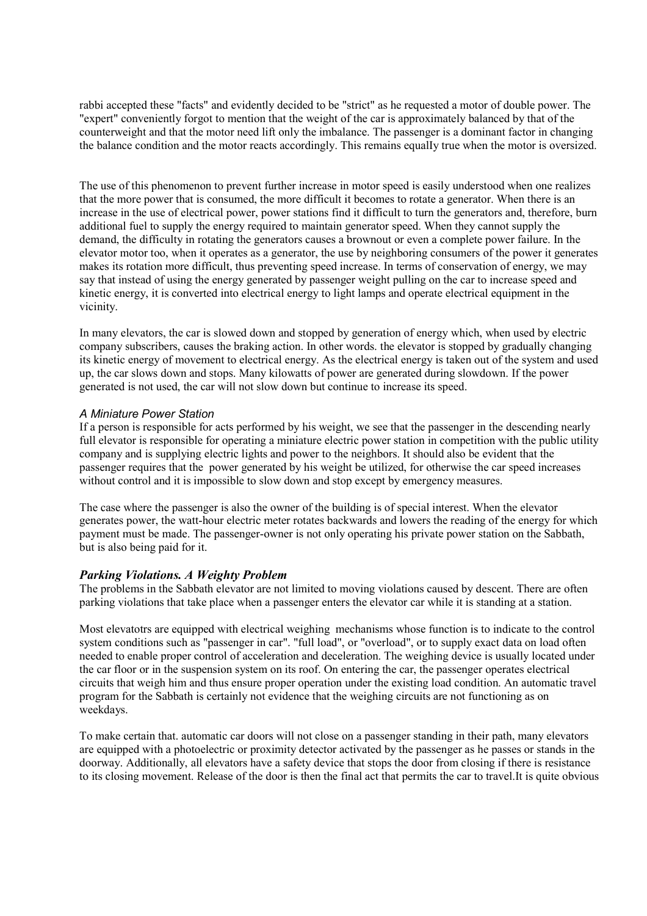rabbi accepted these "facts" and evidently decided to be "strict" as he requested a motor of double power. The "expert" conveniently forgot to mention that the weight of the car is approximately balanced by that of the counterweight and that the motor need lift only the imbalance. The passenger is a dominant factor in changing the balance condition and the motor reacts accordingly. This remains equalIy true when the motor is oversized.

The use of this phenomenon to prevent further increase in motor speed is easily understood when one realizes that the more power that is consumed, the more difficult it becomes to rotate a generator. When there is an increase in the use of electrical power, power stations find it difficult to turn the generators and, therefore, burn additional fuel to supply the energy required to maintain generator speed. When they cannot supply the demand, the difficulty in rotating the generators causes a brownout or even a complete power failure. In the elevator motor too, when it operates as a generator, the use by neighboring consumers of the power it generates makes its rotation more difficult, thus preventing speed increase. In terms of conservation of energy, we may say that instead of using the energy generated by passenger weight pulling on the car to increase speed and kinetic energy, it is converted into electrical energy to light lamps and operate electrical equipment in the vicinity.

In many elevators, the car is slowed down and stopped by generation of energy which, when used by electric company subscribers, causes the braking action. In other words. the elevator is stopped by gradually changing its kinetic energy of movement to electrical energy. As the electrical energy is taken out of the system and used up, the car slows down and stops. Many kilowatts of power are generated during slowdown. If the power generated is not used, the car will not slow down but continue to increase its speed.

## *A Miniature Power Station*

If a person is responsible for acts performed by his weight, we see that the passenger in the descending nearly full elevator is responsible for operating a miniature electric power station in competition with the public utility company and is supplying electric lights and power to the neighbors. It should also be evident that the passenger requires that the power generated by his weight be utilized, for otherwise the car speed increases without control and it is impossible to slow down and stop except by emergency measures.

The case where the passenger is also the owner of the building is of special interest. When the elevator generates power, the watt-hour electric meter rotates backwards and lowers the reading of the energy for which payment must be made. The passenger-owner is not only operating his private power station on the Sabbath, but is also being paid for it.

#### *Parking Violations. A Weighty Problem*

The problems in the Sabbath elevator are not limited to moving violations caused by descent. There are often parking violations that take place when a passenger enters the elevator car while it is standing at a station.

Most elevatotrs are equipped with electrical weighing mechanisms whose function is to indicate to the control system conditions such as "passenger in car". "full load", or "overload", or to supply exact data on load often needed to enable proper control of acceleration and deceleration. The weighing device is usually located under the car floor or in the suspension system on its roof. On entering the car, the passenger operates electrical circuits that weigh him and thus ensure proper operation under the existing load condition. An automatic travel program for the Sabbath is certainly not evidence that the weighing circuits are not functioning as on weekdays.

To make certain that. automatic car doors will not close on a passenger standing in their path, many elevators are equipped with a photoelectric or proximity detector activated by the passenger as he passes or stands in the doorway. Additionally, all elevators have a safety device that stops the door from closing if there is resistance to its closing movement. Release of the door is then the final act that permits the car to travel.It is quite obvious